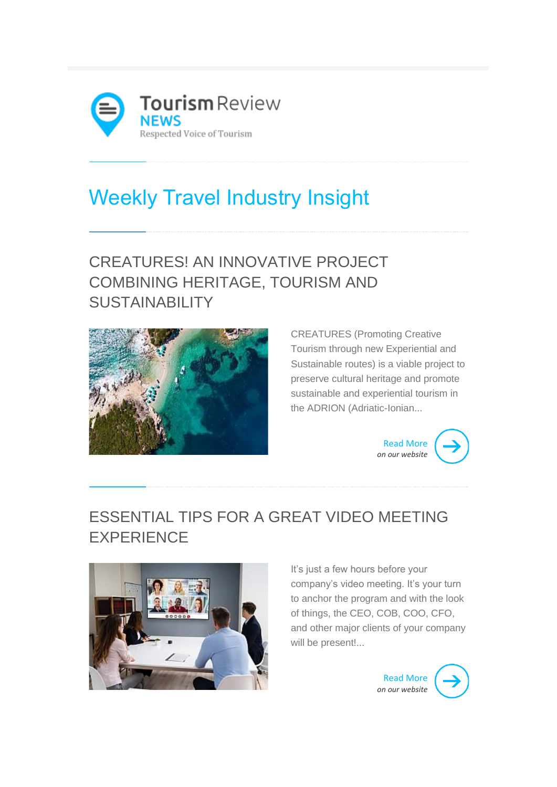

# Weekly Travel Industry Insight

# CREATURES! AN INNOVATIVE PROJECT COMBINING HERITAGE, TOURISM AND **SUSTAINABILITY**



CREATURES (Promoting Creative Tourism through new Experiential and Sustainable routes) is a viable project to preserve cultural heritage and promote sustainable and experiential tourism in the ADRION (Adriatic-Ionian...



#### ESSENTIAL TIPS FOR A GREAT VIDEO MEETING EXPERIENCE



It's just a few hours before your company's video meeting. It's your turn to anchor the program and with the look of things, the CEO, COB, COO, CFO, and other major clients of your company will be present!...



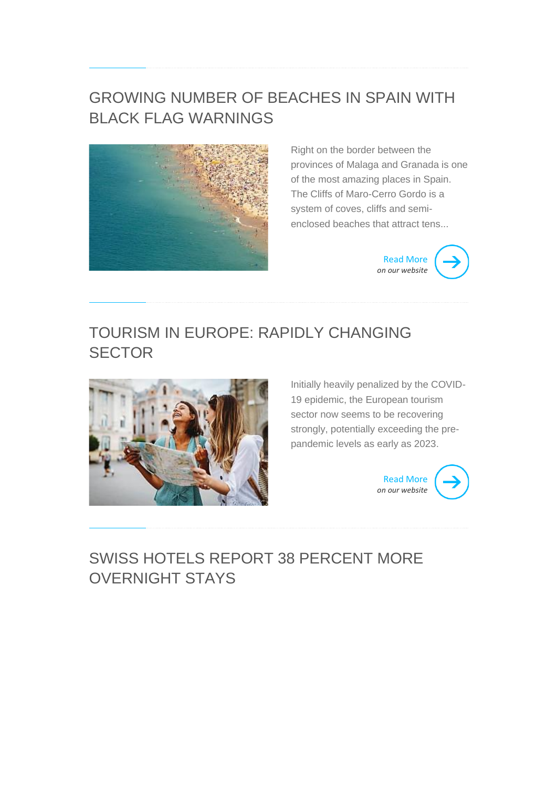#### GROWING NUMBER OF BEACHES IN SPAIN WITH BLACK FLAG WARNINGS



Right on the border between the provinces of Malaga and Granada is one of the most amazing places in Spain. The Cliffs of Maro-Cerro Gordo is a system of coves, cliffs and semienclosed beaches that attract tens...



#### TOURISM IN EUROPE: RAPIDLY CHANGING **SECTOR**



Initially heavily penalized by the COVID-19 epidemic, the European tourism sector now seems to be recovering strongly, potentially exceeding the prepandemic levels as early as 2023.



#### SWISS HOTELS REPORT 38 PERCENT MORE OVERNIGHT STAYS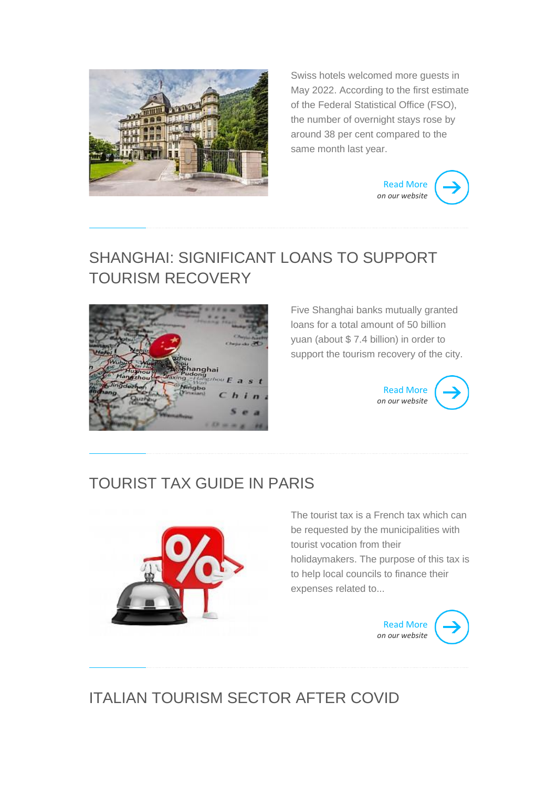

Swiss hotels welcomed more guests in May 2022. According to the first estimate of the Federal Statistical Office (FSO), the number of overnight stays rose by around 38 per cent compared to the same month last year.



#### SHANGHAI: SIGNIFICANT LOANS TO SUPPORT TOURISM RECOVERY



Five Shanghai banks mutually granted loans for a total amount of 50 billion yuan (about \$ 7.4 billion) in order to support the tourism recovery of the city.

> [Read More](http://www.tourism-review.com/shanghai-significant-loans-to-support-tourism-recovery-news12600) *[on our website](http://www.tourism-review.com/shanghai-significant-loans-to-support-tourism-recovery-news12600)*



#### TOURIST TAX GUIDE IN PARIS



The tourist tax is a French tax which can be requested by the municipalities with tourist vocation from their holidaymakers. The purpose of this tax is to help local councils to finance their expenses related to...



# ITALIAN TOURISM SECTOR AFTER COVID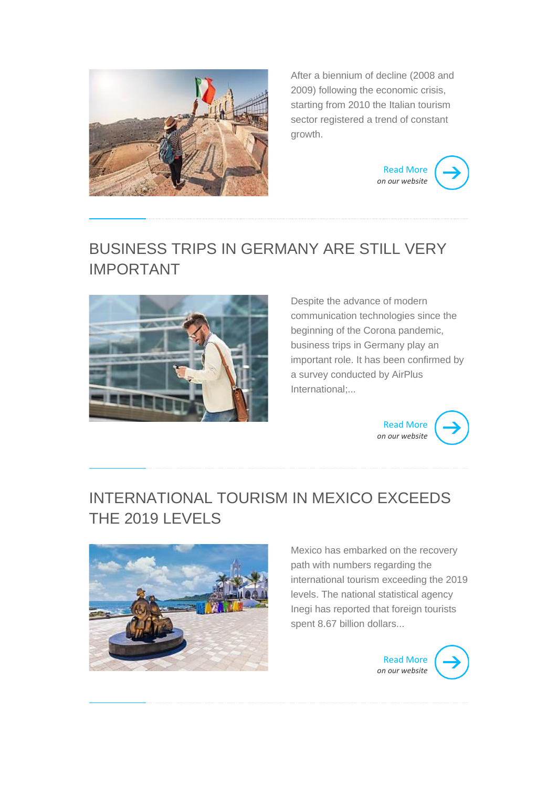

After a biennium of decline (2008 and 2009) following the economic crisis, starting from 2010 the Italian tourism sector registered a trend of constant growth.



## BUSINESS TRIPS IN GERMANY ARE STILL VERY IMPORTANT



Despite the advance of modern communication technologies since the beginning of the Corona pandemic, business trips in Germany play an important role. It has been confirmed by a survey conducted by AirPlus International;...



#### INTERNATIONAL TOURISM IN MEXICO EXCEEDS THE 2019 LEVELS



Mexico has embarked on the recovery path with numbers regarding the international tourism exceeding the 2019 levels. The national statistical agency Inegi has reported that foreign tourists spent 8.67 billion dollars...

> [Read More](http://www.tourism-review.com/international-tourism-in-mexico-exceeds-the-2019-levels-news12598) *[on our website](http://www.tourism-review.com/international-tourism-in-mexico-exceeds-the-2019-levels-news12598)*